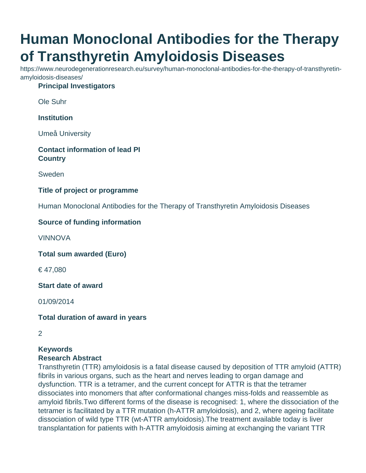# **Human Monoclonal Antibodies for the Therapy of Transthyretin Amyloidosis Diseases**

https://www.neurodegenerationresearch.eu/survey/human-monoclonal-antibodies-for-the-therapy-of-transthyretinamyloidosis-diseases/

#### **Principal Investigators**

Ole Suhr

**Institution**

Umeå University

#### **Contact information of lead PI Country**

Sweden

## **Title of project or programme**

Human Monoclonal Antibodies for the Therapy of Transthyretin Amyloidosis Diseases

## **Source of funding information**

VINNOVA

**Total sum awarded (Euro)**

€ 47,080

**Start date of award**

01/09/2014

**Total duration of award in years**

2

## **Keywords Research Abstract**

Transthyretin (TTR) amyloidosis is a fatal disease caused by deposition of TTR amyloid (ATTR) fibrils in various organs, such as the heart and nerves leading to organ damage and dysfunction. TTR is a tetramer, and the current concept for ATTR is that the tetramer dissociates into monomers that after conformational changes miss-folds and reassemble as amyloid fibrils.Two different forms of the disease is recognised: 1, where the dissociation of the tetramer is facilitated by a TTR mutation (h-ATTR amyloidosis), and 2, where ageing facilitate dissociation of wild type TTR (wt-ATTR amyloidosis).The treatment available today is liver transplantation for patients with h-ATTR amyloidosis aiming at exchanging the variant TTR